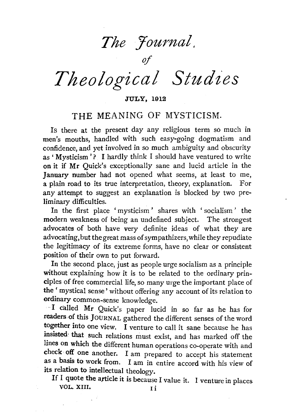*The Journal,* 

*of* 

*Theological Studies* 

JULY, 1912

# THE MEANING OF MYSTICISM.

Is there at the present day any religious term so much in men's mouths, handled with such easy-going dogmatism and confidence, and yet involved in so much ambiguity and obscurity as' Mysticism'? I hardly think I should have ventured to write on it if Mr Quick's exceptionally sane and lucid article in the January number had not opened what seems, at least to me, a plain road to its true interpretation, theory, explanation. For any attempt to suggest an explanation is blocked by two preliminary difficulties.

In the first place 'mysticism' shares with 'socialism' the modern weakness of being an undefined subject. The strongest advocates of both have very definite ideas of what they are advocating,but the great mass of sympathizers, while they repudiate the legitimacy of its extreme forms, have no clear or consistent position of their own to put forward.

In the second place, just as people urge socialism as a principle without explaining how it is to be related to the ordinary principles of free commercial life, so many urge the important place of the ' mystical sense' without offering any account of its relation to ordinary common-sense knowledge.

 $\Pi$  called Mr Quick's paper lucid in so far as he has for readers of this JOURNAL gathered the different senses of the word together into one view. I venture to call it sane because he has insisted: that such relations must exist, and has marked off the lines on which the different human operations co-operate with and check· off one another. I am prepared to accept his statement as a basis to work from. I am in entire accord with his view of its relation to intellectual theology.

If I quote the article it is because I value it. I venture in places  $VOL. XIII.$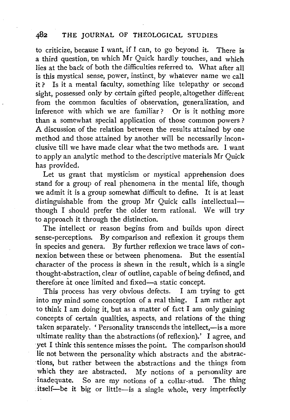### 482 THE JOURNAL OF THEOLOGICAL STUDIES

to criticize, because I want, if I can, to go beyond it. There is a third question, on which Mr Quick hardly touches, and which lies at the back of both the difficulties referred to. What after all is this mystical sense, power, instinct, by whatever name we call it ? Is it a mental faculty, something like telepathy or second sight, possessed only by certain gifted people, altogether different from the common faculties of observation, generalization, and inference with which we are familiar ? Or is it nothing more than a somewhat special application of those common powers ? A discussion of the relation between the results attained by one method and those attained by another will be necessarily inconclusive till we have made clear what the two methods are. I want to apply an analytic method to the descriptive materials Mr Quick has provided.

Let us grant that mysticism or mystical apprehension does stand for a group of real phenomena in the mental life, though we admit it is a group somewhat difficult to define. It is at least distinguishable from the group Mr Quick calls intellectualthough I should prefer the older term rational. We will try to approach it through the distinction.

The intellect or reason begins from and builds upon direct .sense-perceptions. By comparison and reflexion it groups them in species and genera. By further reflexion we trace laws of connexion between these or between phenomena. But the essential character of the process is shewn in the result, which is a single thought-abstraction, clear of outline, capable of being defined, and therefore at once limited and fixed-a static concept.

This process has very obvious defects. I am trying to get into my mind some conception of a real thing. I am rather apt to think I am doing it, but as a matter of fact I am only gaining concepts of certain qualities, aspects, and relations of the thing taken separately. 'Personality transcends the intellect,—is a more ultimate reality than the abstractions (of reflexion).' I agree, and yet I think this sentence misses the point. The comparison should lie not between the personality which abstracts and the abstrac-·tions, but rather between the abstractions and the things from which they are abstracted. My notions of a personality are inadequate. So are my notions of a collar-stud. The thing itself—be it big or little—is a single whole, very imperfectly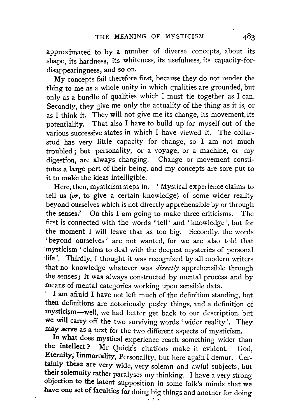approximated to by a number of diverse concepts, about its shape, its hardness, its whiteness, its usefulness, its capacity-fordisappearingness, and so on.

My concepts fail therefore first, because they do not render the thing to me as a whole unity in which qualities are grounded, but only as a bundle of qualities which I must tie together as I can. Secondly, they give me only the actuality of the thing as it is, or as I think it. They will not give me its change, its movement, its potentiality. That also I have to build up for myself out of the various successive states in which I have viewed it. The collarstud has very little capacity for change, so I am not much troubled ; but personality, or a voyage, or a machine, or my digestion, are always changing. Change or movement constitutes a large part of their being, and my concepts are sore put to it to make the ideas intelligible.

Here, then, mysticism steps in. ' Mystical experience claims to tell us *(or,* to give a certain knowledge) of some wider reality beyond ourselves which is not directly apprehensible by or through the senses.' On this I am going to make three criticisms. The first is connected with the words 'tell' and 'knowledge', but for the moment I will leave that as too big. Secondly, the words 'beyond ourselves ' are not wanted, for we are also told that mysticism ' claims to deal with the deepest mysteries of personal life'. Thirdly, I thought it was recognized by all modern writers that no knowledge whatever was *directly* apprehensible through the senses; it was always constructed by mental process and by means of mental categories working upon sensible data.

I am afraid I have not left much of the definition standing, but then definitions are notoriously pesky things, and a definition of mysticism-well, we had better get back to our description, but we will carry off the two surviving words 'wider reality'. They may serve as a text for the two different aspects of mysticism.

In what does mystical experience reach something wider than<br>the intellect? Mr Ouick's citations make it evident. God Mr Quick's citations make it evident. God, Eternity, Immortality, Personality, but here again I demur. Certainly these are very wide, very solemn and awful subjects, but their solemnity rather paralyses my thinking. I have a very strong objection to the latent supposition in some folk's minds that we have one set of faculties for doing big things and another for doing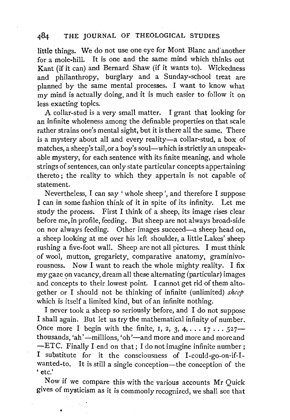#### 484 THE JOURNAL OF THEOLOGICAL STUDIES

little things. We do not use one eye for Mont Blanc and another for a mole-hill. It is one and the same mind which thinks out Kant {if it can) and Bernard Shaw (if it wants to). Wickedness and philanthropy, burglary and a Sunday-school treat are planned by the same mental processes. I want to know what my mind is actually doing, and it is much easier to follow it on less exacting topics.

A collar-stud is a very small matter. I grant that looking for an infinite wholeness among the definable properties on that scale rather strains one's mental sight, but it is there all the same. There is a mystery about all and every reality-a collar-stud, a box of matches, a sheep's tail, or a boy's soul—which is strictly an unspeakable mystery, for each sentence with its finite meaning, and whole strings of sentences, can only state particular concepts appertaining thereto ; the reality to which they appertain is not capable of statement.

Nevertheless, I can say 'whole sheep', and therefore I suppose I can in some fashion think of it in spite of its infinity. Let me study the process. First I think of a sheep, its image rises clear before me, in profile, feeding. But sheep are not always broad-side on nor always feeding. Other images succeed—a sheep head on, a sheep looking at me over his left shoulder, a little Lakes' sheep rushing a five-foot wall. Sheep are not all pictures. I must think of wool, mutton, gregariety, comparative anatomy, graminivorousness. Now I want to reach the whole mighty reality. I fix my gaze on vacancy, dream all these alternating (particular) images and concepts to their lowest point. I cannot get rid of them altogether or I should not be thinking of infinite (unlimited) *sheep*  which is itself a limited kind, but of an infinite nothing.

I never took a sheep so seriously before, and I do not suppose I shall again. But let us try the mathematical infinity of number. Once more I begin with the finite, 1, 2, 3, 4, ... 17 ... *527* thousands, 'ah' ---millions, 'oh' --- and more and more and more and -ETC. Finally I end on that; I do not imagine infinite number; I substitute for it the consciousness of I-could-go-on-if-Iwanted-to. It is still a single conception—the conception of the 'etc.'

Now if we compare this with the various accounts Mr Quick gives of mysticism as it is commonly recognized, we shall see that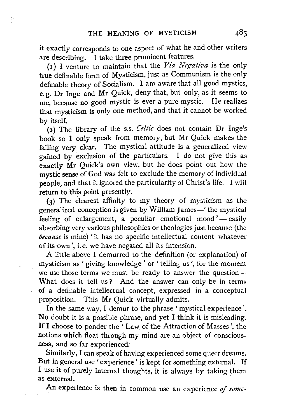$\frac{1}{2}$ 

it exactly corresponds to one aspect of what he and other writers are describing. I take three prominent features.

( 1) I venture to maintain that the *Via Negativa* is the only true definable form of Mysticism, just as Communism is the only definable theory of Socialism. I am aware that all good mystics, e. g. Dr Inge and Mr Quick, deny that, but only, as it seems to me, because no good mystic is ever a pure mystic. He realizes that mysticism is only one method, and that it cannot be worked by itself.

(z) The library of the s.s. *Celtic* does not contain Dr Inge's book so I only speak from memory, but Mr Quick makes the failing very clear. The mystical attitude is a generalized view gained by exclusion of the particulars. I do not give this as exactly Mr Quick's own view, but he does point out how the mystic sense of God was felt to exclude the memory of individual people, and that it ignored the particularity of Christ's life. I will return to this point presently.

(3) The clearest affinity to my theory of mysticism as the generalized conception is given by William James-' the mystical  $f$ eeling of enlargement, a peculiar emotional mood  $-$  easily absorbing very various philosophies or theologies just because (the *because* is mine) 'it has no specific intellectual content whatever of its own ', i.e. we have negated all its intension.

A little above I demurred to the definition (or explanation) of mysticism as ' giving knowledge ' or 'telling us', for the moment we use those terms we must be ready to answer the question--What does it tell us ? And the answer can only be in terms of a definable intellectual concept, expressed in a conceptual proposition. This Mr Quick virtually admits.

In the same way, I demur to the phrase ' mystical experience'. No doubt it is a possible phrase, and yet I think it is misleading. If I choose to ponder the ' Law of the Attraction of Masses', the notions which float through my mind are an object of consciousness, and so far experienced.

Similarly, I can speak of having experienced some queer dreams. But in general use 'experience' is kept for something external. If I use it of purely internal thoughts, it is always by taking them  $\blacksquare$ 

An experience is then in common use an experience *of some-*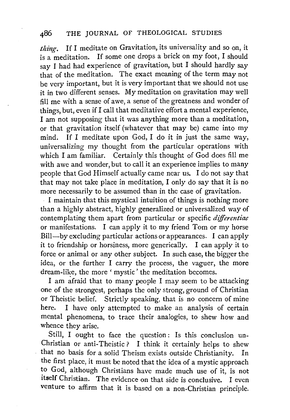## 486 THE JOURNAL OF THEOLOGICAL STUDIES

*thing.* If I meditate on Gravitation, its universality and so on, it is a meditation. If some one drops a brick on my foot, I should say I had had experience of gravitation, but I should hardly say that of the meditation. The exact meaning of the term may not be very important, but it is very important that we should not use it in two different senses. My meditation on gravitation may well fill me with a sense of awe, a sense of the greatness and wonder of things, but, even if I call that meditative effort a mental experience, I am not supposing that it was anything more than a meditation, or that gravitation itself (whatever that may be) came into my mind. If I meditate upon God, I do it in just the same way, universalizing my thought from the particular operations with which I am familiar. Certainly this thought of God does fill me with awe and wonder, but to call it an experience implies to many people that God Himself actually came near us. I do not say that that may not take place in meditation, I only do say that it is no more necessarily to be assumed than in the case of gravitation.

I maintain that this mystical intuition of things is nothing more than a highly abstract, highly generalized or universalized way of contemplating them apart from particular or specific *differentiae*  or manifestations. I can apply it to my friend Tom or my horse Bill-by excluding particular actions or appearances. I can apply it to friendship or horsiness, more generically. I can apply it to force or animal or any other subject. In such case, the bigger the idea, or the further I carry the process, the vaguer, the more dream-like, the more ' mystic' the meditation becomes.

I am afraid that to many people I may seem to be attacking one of the strongest, perhaps the only strong, ground of Christian or Theistic belief. Strictly speaking, that is no concern of mine here. I have only attempted to make an analysis of certain mental phenomena, to trace their analogies, to shew how and whence they arise.

Still, I ought to face the question: Is this conclusion un-Christian or anti-Theistic? I think it certainly helps to shew that no basis for a solid Theism exists outside Christianity. In the first place, it must be noted that the idea of a mystic approach to God, although Christians have made much use of it, is not itself Christian. The evidence on that side is conclusive. I even venture to affirm that it is based on a non-Christian principle.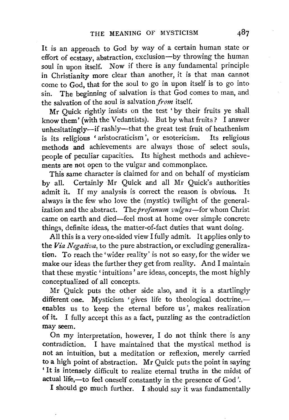It is an approach to God by way of a certain human state or effort of ecstasy, abstraction, exclusion-by throwing the human soul in upon itself. Now if there is any fundamental principle in Christianity more clear than another, it is that man cannot come to God, that for the soul to go in upon itself is to go into sin. The beginning of salvation is that God comes to man, and the salvation of the soul is salvation *from* itself.

Mr Quick rightly insists on the test 'by their fruits ye shall know them' (with the Vedantists). But by what fruits? I answer unhesitatingly-if rashly-that the great test fruit of heathenism is its religious 'aristocraticism ', or esotericism. Its religious methods and achievements are always those of select souls, people of peculiar capacities. Its highest methods and achievements are not open to the vulgar and commonplace.

This same character is claimed for and on behalf of mysticism by all. Certainly Mr Quick and all Mr Quick's authorities admit it. If my analysis is correct the reason is obvious. It always is the few who love the (mystic) twilight of the generalization and the abstract. The *profanum vulgus*-for whom Christ came on earth and died-feel most at home over simple concrete things, definite ideas, the matter-of-fact duties that want doing.

All this is a very one-sided view I fully admit. It applies only to the *Via Negativa,* to the pure abstraction, or excluding generalization. To reach the 'wider reality' is not so easy, for the wider we make our ideas the further they get from reality. And I maintain that these mystic' intuitions' are ideas, concepts, the most highly conceptualized of all concepts.

Mr Quick puts the other side also, and it is a startlingly different one. Mysticism 'gives life to theological doctrine,enables us to keep the eternal before us ', makes realization of it. I fully accept this as a fact, puzzling as the contradiction may seem.

On my interpretation, however, I do not think there is any contradiction. I have maintained that the mystical method is not an intuition, but a meditation or reflexion, merely carried to a high point of abstraction. Mr Quick puts the point in saying 'It is intensely difficult to realize eternal truths in the midst of actual life,-to feel oneself constantly in the presence of God'.

I should go much further. I should say it was fundamentally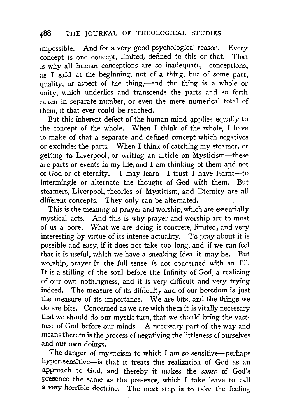impossible. And for a very good psychological reason. Every concept is one concept, limited, defined to this or that. That is why all human conceptions are so inadequate,—conceptions, as I said at the beginning, not of a thing, but of some part, quality, or aspect of the thing,—and the thing is a whole or unity, which underlies and transcends the parts and so forth taken in separate number, or even the mere numerical total of them, if that ever could be reached.

But this inherent defect of the human mind applies equally to the concept of the whole. When I think of the whole, I have to make of that a separate and defined concept which negatives or excludes the parts. When I think of catching my steamer, or getting to Liverpool, or writing an article on Mysticism-these are parts or events in my life, and I am thinking of them and not of God or of eternity. I may learn-I trust I have learnt-to intermingle or alternate the thought of God with them. But steamers, Liverpool, theories of Mysticism, and Eternity are all different concepts. They only can be alternated.

This is the meaning of prayer and worship, which are essentially mystical acts. And this is why prayer and worship are to most of us a bore. What we are doing is concrete, limited, and very interesting by virtue of its intense actuality. To pray about it is possible and easy, if it does not take too long, and if we can feel that it is useful, which we have a sneaking idea it may be. But worship, prayer in the full sense is not concerned with an IT. It is a stilling of the soul before the Infinity of God, a realizing of our own nothingness, and it is very difficult and very trying indeed. The measure of its difficulty and of our boredom is just the measure of its importance. We are bits, and the things we do are bits. Concerned as we are with them it is vitally necessary that we should do our mystic turn, that we should bring the vastness of God before our minds. A necessary part of the way and means thereto is the process of negativing the littleness of ourselves and our own doings.

The danger of mysticism to which I am so sensitive-perhaps hyper-sensitive-is that it treats this realization of God as an approach to God, and thereby it makes the *sense* of God's presence the same as the presence, which I take leave to call a very horrible doctrine. The next step is to take the feeling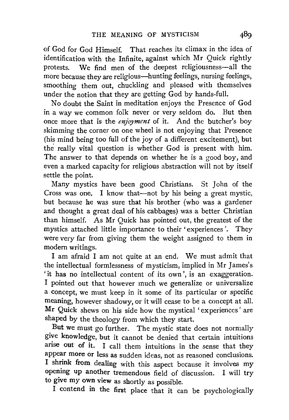of God for God Himself. That reaches its climax in the idea of identification with the Infinite, against which Mr Quick rightly protests. We find men of the deepest religiousness-all the more because they are religious-hunting feelings, nursing feelings, smoothing them out, chuckling and pleased with themselves under the notion that they are getting God by hands-full.

No doubt the Saint in meditation enjoys the Presence of God in a way we common folk never or very seldom do. But then once more that is the *enjoyment* of it. And the butcher's boy skimming the corner on one wheel is not enjoying that Presence (his mind being too full of the joy of a different excitement), but the really vital question is whether God is present with him. The answer to that depends on whether he is a good boy, and even a marked capacity for religious abstraction will not by itself settle the point.

Many mystics have been good Christians. St John of the Cross was one. I know that—not by his being a great mystic, but because he was sure that his brother (who was a gardener and thought a great deal of his cabbages) was a better Christian than himself. As Mr Quick has pointed out, the greatest of the mystics attached little importance to their 'experiences'. They were very far from giving them the weight assigned to them in modern writings.

I am afraid I am not quite at an end. We must admit that the intellectual formlessness of mysticism, implied in Mr James's 'it has no intellectual content of its own', is an exaggeration. I pointed out that however much we generalize or universalize a concept, we must keep in it some of its particular or specific meaning, however shadowy, or it will cease to be a concept at all. Mr Quick shews on his side how the mystical 'experiences' are shaped by the theology from which they start.

But we must go further. The mystic state does not normally give knowledge, but it cannot be denied that certain intuitions arise out of it. I call them intuitions in the sense that they appear more or less as sudden ideas, not as reasoned conclusions. I shrink from dealing with this aspect because it involves my opening up another tremendous field of discussion. I will try to give my own view as shortly as possible.

I contend in the first place that it can be psychologically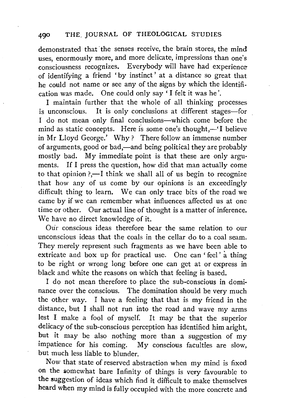#### 490 THE. JOURNAL OF THEOLOGICAL STUDIES

demonstrated that the senses receive, the brain stores, the mind uses, enormously more, and more delicate, impressions than one's consciousness recognizes. Everybody will have had experience of identifying a friend 'by instinct' at a distance so great that he could not name or see any of the signs by which the identification was made. One could only say 'I felt it was he'.

I maintain further that the whole of all thinking processes is unconscious. It is only conclusions at different stages-for I do not mean only final conclusions-which come before the mind as static concepts. Here is some one's thought, $-1$  believe in Mr Lloyd George.' Why? There follow an immense number of arguments, good or bad,—and being political they are probably mostly bad. My immediate point is that these are only arguments. If I press the question, how did that man actually come to that opinion  $?$ ,—I think we shall all of us begin to recognize that how any of us come by our opinions is an exceedingly difficult thing to learn. We can only trace bits of the road we came by if we can remember what influences affected us at one time or other. Our actual line of thought is a matter of inference. We have no direct knowledge of it.

Otir conscious ideas therefore bear the same relation to our unconscious ideas that the coals in the cellar do to a coal seam. They merely represent such fragments as we have been able to extricate and box up for practical use. One can 'feel' a thing to be right or wrong long before one can get at or express in black and white the reasons on which that feeling is based.

I do not mean therefore to place the sub-conscious in dominance over the conscious. The domination should be very much the other way. I have a feeling that that is my friend in the distance, but I shall not run into the road and wave my arms lest I make a fool of myself. It may be that the superior delicacy of the sub-conscious perception has identified him aright, but it may be also nothing more than a suggestion of my impatience for his coming. My conscious faculties are slow, but much less liable to blunder.

Now that state of reserved abstraction when my mind is fixed on the somewhat bare Infinity of things is very favourable to the suggestion of ideas which find it difficult to make themselves heard when my mind is fully occupied with the more concrete and